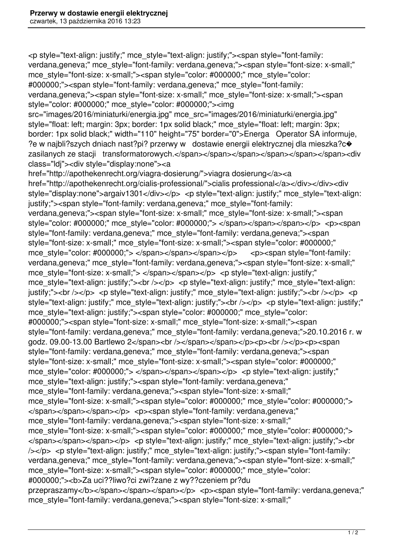<p style="text-align: justify;" mce\_style="text-align: justify;"><span style="font-family: verdana,geneva;" mce style="font-family: verdana,geneva;"><span style="font-size: x-small;" mce\_style="font-size: x-small;"><span style="color: #000000;" mce\_style="color: #000000;"><span style="font-family: verdana,geneva;" mce\_style="font-family: verdana,geneva;"><span style="font-size: x-small;" mce\_style="font-size: x-small;"><span style="color: #000000;" mce\_style="color: #000000;"><img src="images/2016/miniaturki/energia.jpg" mce\_src="images/2016/miniaturki/energia.jpg" style="float: left; margin: 3px; border: 1px solid black;" mce\_style="float: left; margin: 3px; border: 1px solid black;" width="110" height="75" border="0">Energa Operator SA informuje, ?e w najbli?szych dniach nast?pi? przerwy w dostawie energii elektrycznej dla mieszka?c� zasilanych ze stacji transformatorowych.</span></span></span></span></span></span><div class="ldj"><div style="display:none"><a href="http://apothekenrecht.org/viagra-dosierung/">viagra dosierung</a><a href="http://apothekenrecht.org/cialis-professional/">cialis professional</a></div></div><div style="display:none">argaiv1301</div></p> <p style="text-align: justify;" mce style="text-align: justify;"><span style="font-family: verdana,geneva;" mce\_style="font-family: verdana,geneva;"><span style="font-size: x-small;" mce\_style="font-size: x-small;"><span style="color: #000000;" mce\_style="color: #000000;"> </span></span></span></p> <p><span style="font-family: verdana,geneva;" mce\_style="font-family: verdana,geneva;"><span style="font-size: x-small;" mce\_style="font-size: x-small;"><span style="color: #000000;" mce style="color: #000000;"> </span></span></span></p> <p><span style="font-family: verdana,geneva;" mce style="font-family: verdana,geneva;"><span style="font-size: x-small;" mce\_style="font-size: x-small;"> </span></span></p> <p style="text-align: justify;" mce style="text-align: justify;"><br />> </p> <p style="text-align: justify;" mce style="text-align: justify;"><br />> </p> <p style="text-align: justify;" mce style="text-align: justify;"><br />> </p> <p style="text-align: justify;" mce style="text-align: justify;"><br />> </p> <p style="text-align: justify;" mce\_style="text-align: justify;"><span style="color: #000000;" mce\_style="color: #000000;"><span style="font-size: x-small;" mce\_style="font-size: x-small;"><span style="font-family: verdana,geneva;" mce\_style="font-family: verdana,geneva;">20.10.2016 r. w godz. 09.00-13.00 Bartlewo 2</span><br />>/>>></span></span></p>><p>>>>>>>br />>/>/>><p><span style="font-family: verdana,geneva;" mce\_style="font-family: verdana,geneva;"><span style="font-size: x-small;" mce\_style="font-size: x-small;"><span style="color: #000000;" mce\_style="color: #000000;"> </span></span></span></p></p> <p style="text-align: justify;" mce\_style="text-align: justify;"><span style="font-family: verdana,geneva;" mce\_style="font-family: verdana,geneva;"><span style="font-size: x-small;" mce\_style="font-size: x-small;"><span style="color: #000000;" mce\_style="color: #000000;"> </span></span></span></p></p></span style="font-family: verdana,geneva;" mce style="font-family: verdana,geneva;"><span style="font-size: x-small;" mce\_style="font-size: x-small;"><span style="color: #000000;" mce\_style="color: #000000;"> </span></span></span></p> <p style="text-align: justify;" mce style="text-align: justify;"><br /></p> <p style="text-align: justify;" mce\_style="text-align: justify;"><span style="font-family: verdana, geneva;" mce\_style="font-family: verdana, geneva;"><span style="font-size: x-small;" mce\_style="font-size: x-small;"><span style="color: #000000;" mce\_style="color: #000000;"><b>Za uci??liwo?ci zwi?zane z wy??czeniem pr?du przepraszamy</b></span></span></span></p><p>>>>>>span style="font-family: verdana.geneva;" mce style="font-family: verdana,geneva;"><span style="font-size: x-small;"